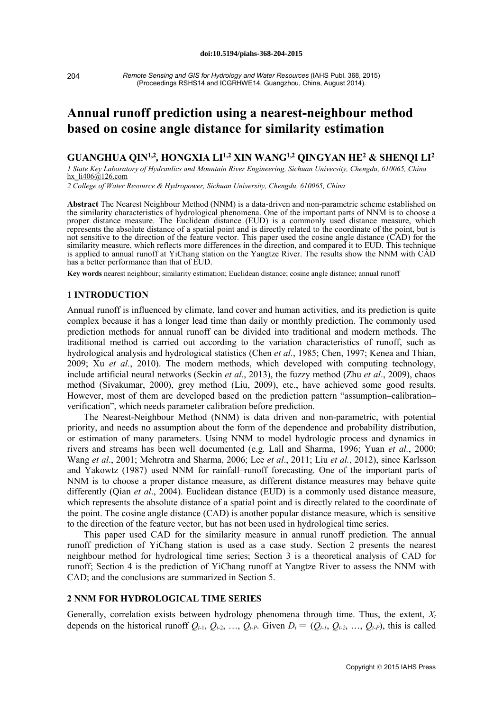204

*Remote Sensing and GIS for Hydrology and Water Resources* (IAHS Publ. 368, 2015) (Proceedings RSHS14 and ICGRHWE14, Guangzhou, China, August 2014).

# **Annual runoff prediction using a nearest-neighbour method based on cosine angle distance for similarity estimation**

## **GUANGHUA QIN1,2***,* **HONGXIA LI1,2 XIN WANG1,2 QINGYAN HE2 & SHENQI LI2**

*1 State Key Laboratory of Hydraulics and Mountain River Engineering, Sichuan University, Chengdu, 610065, China*  hx li406@126.com

*2 College of Water Resource & Hydropower, Sichuan University, Chengdu, 610065, China*

**Abstract** The Nearest Neighbour Method (NNM) is a data-driven and non-parametric scheme established on the similarity characteristics of hydrological phenomena. One of the important parts of NNM is to choose a proper distance measure. The Euclidean distance (EUD) is a commonly used distance measure, which represents the absolute distance of a spatial point and is directly related to the coordinate of the point, but is not sensitive to the direction of the feature vector. This paper used the cosine angle distance (CAD) for the similarity measure, which reflects more differences in the direction, and compared it to EUD. This technique is applied to annual runoff at YiChang station on the Yangtze River. The results show the NNM with CAD has a better performance than that of EUD.

**Key words** nearest neighbour; similarity estimation; Euclidean distance; cosine angle distance; annual runoff

### **1 INTRODUCTION**

Annual runoff is influenced by climate, land cover and human activities, and its prediction is quite complex because it has a longer lead time than daily or monthly prediction. The commonly used prediction methods for annual runoff can be divided into traditional and modern methods. The traditional method is carried out according to the variation characteristics of runoff, such as hydrological analysis and hydrological statistics (Chen *et al.*, 1985; Chen, 1997; Kenea and Thian, 2009; Xu *et al.*, 2010). The modern methods, which developed with computing technology, include artificial neural networks (Seckin *et al*., 2013), the fuzzy method (Zhu *et al*., 2009), chaos method (Sivakumar, 2000), grey method (Liu, 2009), etc., have achieved some good results. However, most of them are developed based on the prediction pattern "assumption–calibration– verification", which needs parameter calibration before prediction.

The Nearest-Neighbour Method (NNM) is data driven and non-parametric, with potential priority, and needs no assumption about the form of the dependence and probability distribution, or estimation of many parameters. Using NNM to model hydrologic process and dynamics in rivers and streams has been well documented (e.g. Lall and Sharma, 1996; Yuan *et al.*, 2000; Wang *et al*., 2001; Mehrotra and Sharma, 2006; Lee *et al*., 2011; Liu *et al.*, 2012), since Karlsson and Yakowtz (1987) used NNM for rainfall–runoff forecasting. One of the important parts of NNM is to choose a proper distance measure, as different distance measures may behave quite differently (Qian *et al*., 2004). Euclidean distance (EUD) is a commonly used distance measure, which represents the absolute distance of a spatial point and is directly related to the coordinate of the point. The cosine angle distance (CAD) is another popular distance measure, which is sensitive to the direction of the feature vector, but has not been used in hydrological time series.

This paper used CAD for the similarity measure in annual runoff prediction. The annual runoff prediction of YiChang station is used as a case study. Section 2 presents the nearest neighbour method for hydrological time series; Section 3 is a theoretical analysis of CAD for runoff; Section 4 is the prediction of YiChang runoff at Yangtze River to assess the NNM with CAD; and the conclusions are summarized in Section 5.

### **2 NNM FOR HYDROLOGICAL TIME SERIES**

Generally, correlation exists between hydrology phenomena through time. Thus, the extent,  $X_t$ depends on the historical runoff  $Q_{t-1}$ ,  $Q_{t-2}$ , ...,  $Q_{t-P}$ . Given  $D_t = (Q_{t-1}, Q_{t-2}, \ldots, Q_{t-P})$ , this is called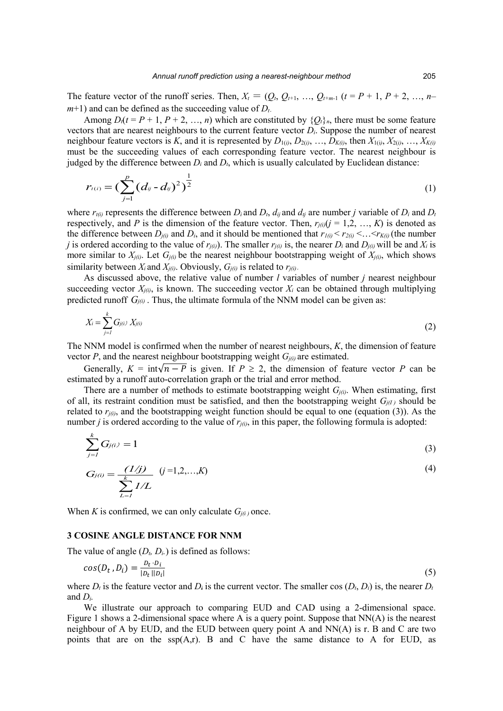The feature vector of the runoff series. Then,  $X_t = (Q_t, Q_{t+1}, ..., Q_{t+m-1}$   $(t = P + 1, P + 2, ..., n-1)$  $m+1$ ) and can be defined as the succeeding value of  $D_t$ .

Among  $D_t(t = P + 1, P + 2, ..., n)$  which are constituted by  $\{O_t\}_n$ , there must be some feature vectors that are nearest neighbours to the current feature vector *Di*. Suppose the number of nearest neighbour feature vectors is *K*, and it is represented by  $D_{1(i)}$ ,  $D_{2(i)}$ , …,  $D_{K(i)}$ , then  $X_{1(i)}$ ,  $X_{2(i)}$ , …,  $X_{K(i)}$ must be the succeeding values of each corresponding feature vector. The nearest neighbour is judged by the difference between  $D_i$  and  $D_i$ , which is usually calculated by Euclidean distance:

$$
r_{t(i)} = \left(\sum_{j=1}^{p} (d_{ij} - d_{ij})^2\right)^{\frac{1}{2}}
$$
 (1)

where  $r_{t(i)}$  represents the difference between  $D_i$  and  $D_t$ ,  $d_{ij}$  and  $d_{ij}$  are number *j* variable of  $D_i$  and  $D_t$ respectively, and *P* is the dimension of the feature vector. Then,  $r_{i(i)}$ ( $j = 1, 2, ..., K$ ) is denoted as the difference between  $D_{i(i)}$  and  $D_i$ , and it should be mentioned that  $r_{i(i)} < r_{i(i)} < \ldots < r_{K(i)}$  (the number *j* is ordered according to the value of  $r_{j(i)}$ ). The smaller  $r_{j(i)}$  is, the nearer  $D_i$  and  $D_{j(i)}$  will be and  $X_i$  is more similar to  $X_{j(i)}$ . Let  $G_{j(i)}$  be the nearest neighbour bootstrapping weight of  $X_{j(i)}$ , which shows similarity between  $X_i$  and  $X_{i(i)}$ . Obviously,  $G_{i(i)}$  is related to  $r_{i(i)}$ .

As discussed above, the relative value of number *l* variables of number *j* nearest neighbour succeeding vector  $X_{j(i)}$ , is known. The succeeding vector  $X_i$  can be obtained through multiplying predicted runoff  $G_{j(i)}$ . Thus, the ultimate formula of the NNM model can be given as:

$$
X_i = \sum_{j=1}^k G_{j(i)} X_{j(i)}
$$
 (2)

The NNM model is confirmed when the number of nearest neighbours, *K*, the dimension of feature vector  $P$ , and the nearest neighbour bootstrapping weight  $G_{i(i)}$  are estimated.

Generally,  $K = \int \int \ln \sqrt{n - P}$  is given. If  $P \ge 2$ , the dimension of feature vector P can be estimated by a runoff auto-correlation graph or the trial and error method.

There are a number of methods to estimate bootstrapping weight *Gj(i)*. When estimating, first of all, its restraint condition must be satisfied, and then the bootstrapping weight  $G_{j(l)}$  should be related to  $r_{j(i)}$ , and the bootstrapping weight function should be equal to one (equation (3)). As the number *j* is ordered according to the value of  $r_{j(i)}$ , in this paper, the following formula is adopted:

$$
\sum_{j=1}^{k} G_{j(i)} = 1
$$
 (3)

$$
G_{j(i)} = \frac{(1/j)}{\sum_{L=1}^{k} 1/L} \quad (j=1,2,...,K)
$$
 (4)

When *K* is confirmed, we can only calculate  $G_{j(i)}$  once.

#### **3 COSINE ANGLE DISTANCE FOR NNM**

The value of angle  $(D_t, D_t)$  is defined as follows:

$$
cos(D_t, D_i) = \frac{D_t \cdot D_i}{|D_t||D_i|} \tag{5}
$$

where  $D_t$  is the feature vector and  $D_t$  is the current vector. The smaller cos  $(D_t, D_t)$  is, the nearer  $D_t$ and *Di.*

We illustrate our approach to comparing EUD and CAD using a 2-dimensional space. Figure 1 shows a 2-dimensional space where A is a query point. Suppose that NN(A) is the nearest neighbour of A by EUD, and the EUD between query point A and  $NN(A)$  is r. B and C are two points that are on the  $ssp(A,r)$ . B and C have the same distance to A for EUD, as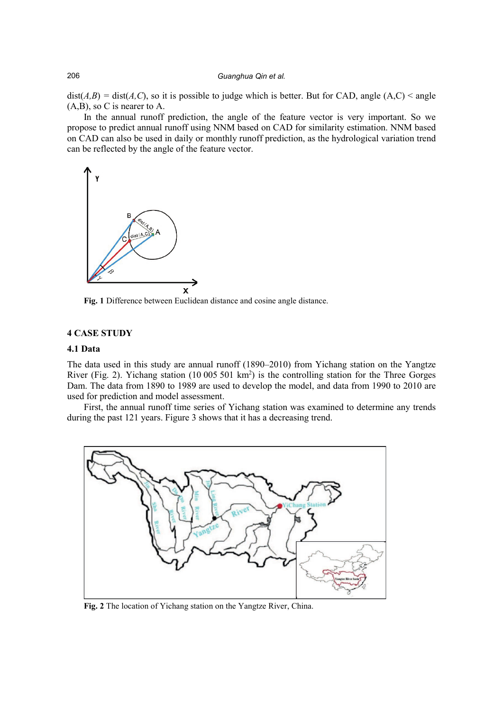#### 206 *Guanghua Qin et al.*

 $dist(A,B) = dist(A,C)$ , so it is possible to judge which is better. But for CAD, angle  $(A,C) <$  angle (A,B), so C is nearer to A.

In the annual runoff prediction, the angle of the feature vector is very important. So we propose to predict annual runoff using NNM based on CAD for similarity estimation. NNM based on CAD can also be used in daily or monthly runoff prediction, as the hydrological variation trend can be reflected by the angle of the feature vector.



**Fig. 1** Difference between Euclidean distance and cosine angle distance.

#### **4 CASE STUDY**

## **4.1 Data**

The data used in this study are annual runoff (1890–2010) from Yichang station on the Yangtze River (Fig. 2). Yichang station  $(10\,005\,501\,km^2)$  is the controlling station for the Three Gorges Dam. The data from 1890 to 1989 are used to develop the model, and data from 1990 to 2010 are used for prediction and model assessment.

First, the annual runoff time series of Yichang station was examined to determine any trends during the past 121 years. Figure 3 shows that it has a decreasing trend.



**Fig. 2** The location of Yichang station on the Yangtze River, China.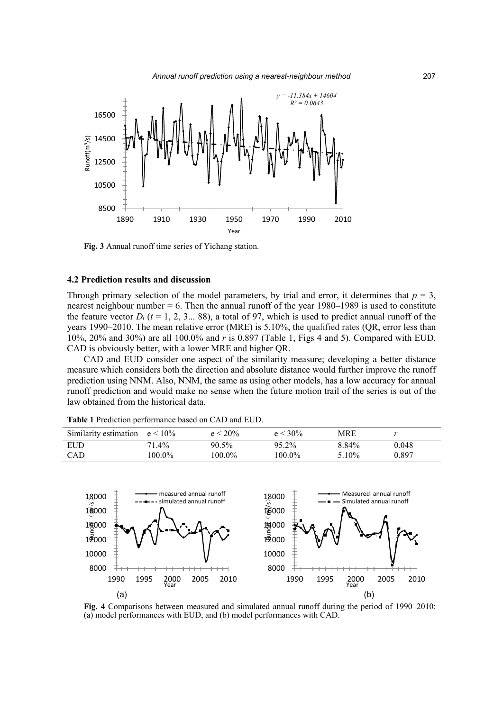



**Fig. 3** Annual runoff time series of Yichang station.

#### **4.2 Prediction results and discussion**

Through primary selection of the model parameters, by trial and error, it determines that  $p = 3$ , nearest neighbour number = 6. Then the annual runoff of the year 1980–1989 is used to constitute the feature vector  $D_t$  ( $t = 1, 2, 3...$  88), a total of 97, which is used to predict annual runoff of the years 1990–2010. The mean relative error (MRE) is 5.10%, the qualified rates (QR, error less than 10%, 20% and 30%) are all 100.0% and *r* is 0.897 (Table 1, Figs 4 and 5). Compared with EUD, CAD is obviously better, with a lower MRE and higher QR.

CAD and EUD consider one aspect of the similarity measure; developing a better distance measure which considers both the direction and absolute distance would further improve the runoff prediction using NNM. Also, NNM, the same as using other models, has a low accuracy for annual runoff prediction and would make no sense when the future motion trail of the series is out of the law obtained from the historical data.

| Similarity estimation $e < 10\%$ |           | $e < 20\%$ | $e < 30\%$ | <b>MRE</b> |       |
|----------------------------------|-----------|------------|------------|------------|-------|
| EUD                              | $71.4\%$  | $90.5\%$   | 95.2%      | 8.84%      | 0.048 |
| <b>CAD</b>                       | $100.0\%$ | $100.0\%$  | 100.0%     | 5.10%      | 0.897 |

**Table 1** Prediction performance based on CAD and EUD.



**Fig. 4** Comparisons between measured and simulated annual runoff during the period of 1990–2010: (a) model performances with EUD, and (b) model performances with CAD.